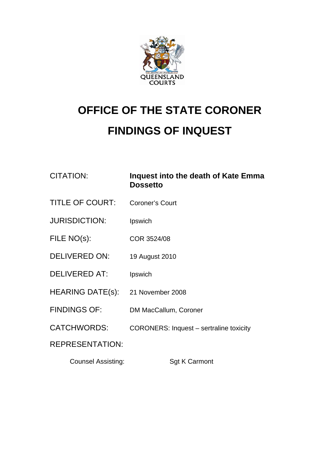

## **OFFICE OF THE STATE CORONER FINDINGS OF INQUEST**

## CITATION: **Inquest into the death of Kate Emma Dossetto**

- TITLE OF COURT: Coroner's Court
- JURISDICTION: Ipswich
- FILE NO(s): COR 3524/08
- DELIVERED ON: 19 August 2010
- DELIVERED AT: Ipswich
- HEARING DATE(s): 21 November 2008
- FINDINGS OF: DM MacCallum, Coroner
- CATCHWORDS: CORONERS: Inquest sertraline toxicity

REPRESENTATION:

Counsel Assisting: Sgt K Carmont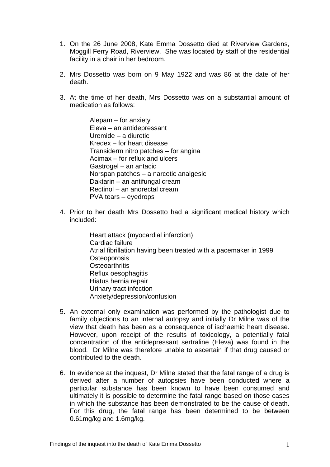- 1. On the 26 June 2008, Kate Emma Dossetto died at Riverview Gardens, Moggill Ferry Road, Riverview. She was located by staff of the residential facility in a chair in her bedroom.
- 2. Mrs Dossetto was born on 9 May 1922 and was 86 at the date of her death.
- 3. At the time of her death, Mrs Dossetto was on a substantial amount of medication as follows:

 Alepam – for anxiety Eleva – an antidepressant Uremide – a diuretic Kredex – for heart disease Transiderm nitro patches – for angina Acimax – for reflux and ulcers Gastrogel – an antacid Norspan patches – a narcotic analgesic Daktarin – an antifungal cream Rectinol – an anorectal cream PVA tears – eyedrops

- 4. Prior to her death Mrs Dossetto had a significant medical history which included:
	- Heart attack (myocardial infarction) Cardiac failure Atrial fibrillation having been treated with a pacemaker in 1999 **Osteoporosis Osteoarthritis**  Reflux oesophagitis Hiatus hernia repair Urinary tract infection Anxiety/depression/confusion
- 5. An external only examination was performed by the pathologist due to family objections to an internal autopsy and initially Dr Milne was of the view that death has been as a consequence of ischaemic heart disease. However, upon receipt of the results of toxicology, a potentially fatal concentration of the antidepressant sertraline (Eleva) was found in the blood. Dr Milne was therefore unable to ascertain if that drug caused or contributed to the death.
- 6. In evidence at the inquest, Dr Milne stated that the fatal range of a drug is derived after a number of autopsies have been conducted where a particular substance has been known to have been consumed and ultimately it is possible to determine the fatal range based on those cases in which the substance has been demonstrated to be the cause of death. For this drug, the fatal range has been determined to be between 0.61mg/kg and 1.6mg/kg.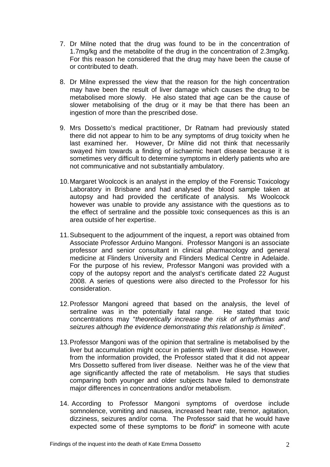- 7. Dr Milne noted that the drug was found to be in the concentration of 1.7mg/kg and the metabolite of the drug in the concentration of 2.3mg/kg. For this reason he considered that the drug may have been the cause of or contributed to death.
- 8. Dr Milne expressed the view that the reason for the high concentration may have been the result of liver damage which causes the drug to be metabolised more slowly. He also stated that age can be the cause of slower metabolising of the drug or it may be that there has been an ingestion of more than the prescribed dose.
- 9. Mrs Dossetto's medical practitioner, Dr Ratnam had previously stated there did not appear to him to be any symptoms of drug toxicity when he last examined her. However, Dr Milne did not think that necessarily swayed him towards a finding of ischaemic heart disease because it is sometimes very difficult to determine symptoms in elderly patients who are not communicative and not substantially ambulatory.
- 10. Margaret Woolcock is an analyst in the employ of the Forensic Toxicology Laboratory in Brisbane and had analysed the blood sample taken at autopsy and had provided the certificate of analysis. Ms Woolcock however was unable to provide any assistance with the questions as to the effect of sertraline and the possible toxic consequences as this is an area outside of her expertise.
- 11. Subsequent to the adjournment of the inquest, a report was obtained from Associate Professor Arduino Mangoni. Professor Mangoni is an associate professor and senior consultant in clinical pharmacology and general medicine at Flinders University and Flinders Medical Centre in Adelaide. For the purpose of his review, Professor Mangoni was provided with a copy of the autopsy report and the analyst's certificate dated 22 August 2008. A series of questions were also directed to the Professor for his consideration.
- 12. Professor Mangoni agreed that based on the analysis, the level of sertraline was in the potentially fatal range. He stated that toxic concentrations may "*theoretically increase the risk of arrhythmias and seizures although the evidence demonstrating this relationship is limited*".
- 13. Professor Mangoni was of the opinion that sertraline is metabolised by the liver but accumulation might occur in patients with liver disease. However, from the information provided, the Professor stated that it did not appear Mrs Dossetto suffered from liver disease. Neither was he of the view that age significantly affected the rate of metabolism. He says that studies comparing both younger and older subjects have failed to demonstrate major differences in concentrations and/or metabolism.
- 14. According to Professor Mangoni symptoms of overdose include somnolence, vomiting and nausea, increased heart rate, tremor, agitation, dizziness, seizures and/or coma. The Professor said that he would have expected some of these symptoms to be *florid*" in someone with acute